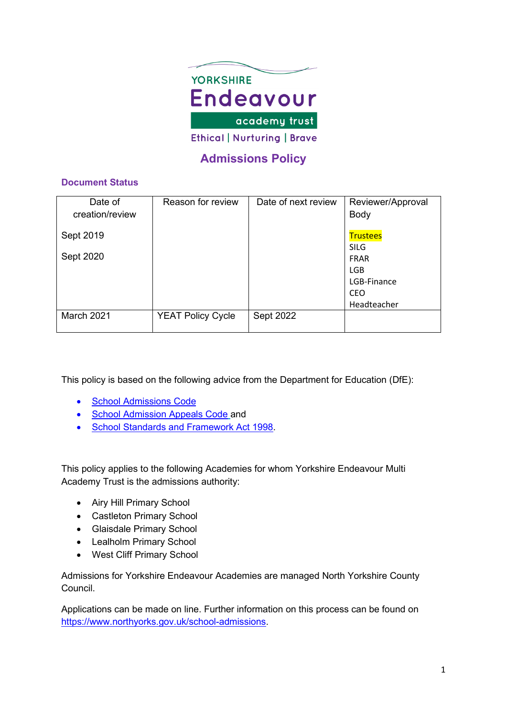

# **Admissions Policy**

# **Document Status**

| Date of         | Reason for review        | Date of next review | Reviewer/Approval |
|-----------------|--------------------------|---------------------|-------------------|
| creation/review |                          |                     | Body              |
| Sept 2019       |                          |                     | <b>Trustees</b>   |
|                 |                          |                     | <b>SILG</b>       |
| Sept 2020       |                          |                     | <b>FRAR</b>       |
|                 |                          |                     | <b>LGB</b>        |
|                 |                          |                     | LGB-Finance       |
|                 |                          |                     | <b>CEO</b>        |
|                 |                          |                     | Headteacher       |
| March 2021      | <b>YEAT Policy Cycle</b> | Sept 2022           |                   |

This policy is based on the following advice from the Department for Education (DfE):

- [School Admissions Code](https://www.gov.uk/government/publications/school-admissions-code--2)
- [School Admission Appeals Code](https://www.gov.uk/government/publications/school-admissions-appeals-code) and
- [School Standards and Framework Act 1998.](http://www.legislation.gov.uk/ukpga/1998/31/contents)

This policy applies to the following Academies for whom Yorkshire Endeavour Multi Academy Trust is the admissions authority:

- Airy Hill Primary School
- Castleton Primary School
- Glaisdale Primary School
- Lealholm Primary School
- West Cliff Primary School

Admissions for Yorkshire Endeavour Academies are managed North Yorkshire County Council.

Applications can be made on line. Further information on this process can be found on [https://www.northyorks.gov.uk/school-admissions.](https://www.northyorks.gov.uk/school-admissions)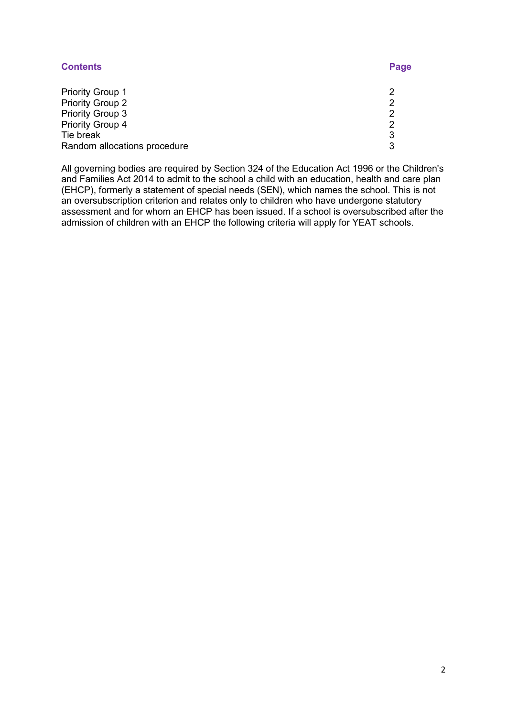| <b>Contents</b>              | Page |
|------------------------------|------|
| <b>Priority Group 1</b>      |      |
| <b>Priority Group 2</b>      | ႒    |
| <b>Priority Group 3</b>      |      |
| Priority Group 4             | ႒    |
| Tie break                    | 3    |
| Random allocations procedure | 3    |

All governing bodies are required by Section 324 of the Education Act 1996 or the Children's and Families Act 2014 to admit to the school a child with an education, health and care plan (EHCP), formerly a statement of special needs (SEN), which names the school. This is not an oversubscription criterion and relates only to children who have undergone statutory assessment and for whom an EHCP has been issued. If a school is oversubscribed after the admission of children with an EHCP the following criteria will apply for YEAT schools.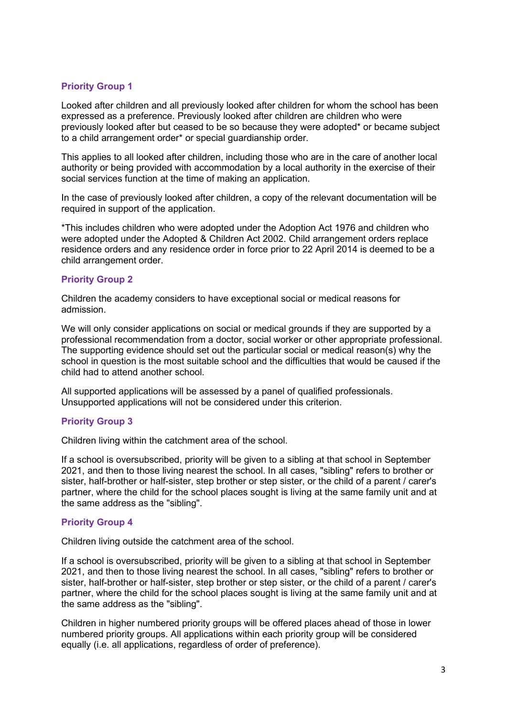# **Priority Group 1**

Looked after children and all previously looked after children for whom the school has been expressed as a preference. Previously looked after children are children who were previously looked after but ceased to be so because they were adopted\* or became subject to a child arrangement order\* or special guardianship order.

This applies to all looked after children, including those who are in the care of another local authority or being provided with accommodation by a local authority in the exercise of their social services function at the time of making an application.

In the case of previously looked after children, a copy of the relevant documentation will be required in support of the application.

\*This includes children who were adopted under the Adoption Act 1976 and children who were adopted under the Adopted & Children Act 2002. Child arrangement orders replace residence orders and any residence order in force prior to 22 April 2014 is deemed to be a child arrangement order.

# **Priority Group 2**

Children the academy considers to have exceptional social or medical reasons for admission.

We will only consider applications on social or medical grounds if they are supported by a professional recommendation from a doctor, social worker or other appropriate professional. The supporting evidence should set out the particular social or medical reason(s) why the school in question is the most suitable school and the difficulties that would be caused if the child had to attend another school.

All supported applications will be assessed by a panel of qualified professionals. Unsupported applications will not be considered under this criterion.

# **Priority Group 3**

Children living within the catchment area of the school.

If a school is oversubscribed, priority will be given to a sibling at that school in September 2021, and then to those living nearest the school. In all cases, "sibling" refers to brother or sister, half-brother or half-sister, step brother or step sister, or the child of a parent / carer's partner, where the child for the school places sought is living at the same family unit and at the same address as the "sibling".

# **Priority Group 4**

Children living outside the catchment area of the school.

If a school is oversubscribed, priority will be given to a sibling at that school in September 2021, and then to those living nearest the school. In all cases, "sibling" refers to brother or sister, half-brother or half-sister, step brother or step sister, or the child of a parent / carer's partner, where the child for the school places sought is living at the same family unit and at the same address as the "sibling".

Children in higher numbered priority groups will be offered places ahead of those in lower numbered priority groups. All applications within each priority group will be considered equally (i.e. all applications, regardless of order of preference).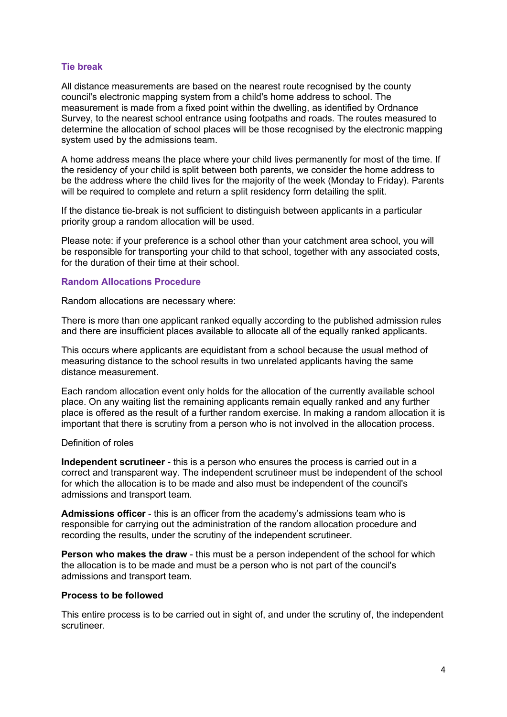#### **Tie break**

All distance measurements are based on the nearest route recognised by the county council's electronic mapping system from a child's home address to school. The measurement is made from a fixed point within the dwelling, as identified by Ordnance Survey, to the nearest school entrance using footpaths and roads. The routes measured to determine the allocation of school places will be those recognised by the electronic mapping system used by the admissions team.

A home address means the place where your child lives permanently for most of the time. If the residency of your child is split between both parents, we consider the home address to be the address where the child lives for the majority of the week (Monday to Friday). Parents will be required to complete and return a split residency form detailing the split.

If the distance tie-break is not sufficient to distinguish between applicants in a particular priority group a random allocation will be used.

Please note: if your preference is a school other than your catchment area school, you will be responsible for transporting your child to that school, together with any associated costs, for the duration of their time at their school.

#### **Random Allocations Procedure**

Random allocations are necessary where:

There is more than one applicant ranked equally according to the published admission rules and there are insufficient places available to allocate all of the equally ranked applicants.

This occurs where applicants are equidistant from a school because the usual method of measuring distance to the school results in two unrelated applicants having the same distance measurement.

Each random allocation event only holds for the allocation of the currently available school place. On any waiting list the remaining applicants remain equally ranked and any further place is offered as the result of a further random exercise. In making a random allocation it is important that there is scrutiny from a person who is not involved in the allocation process.

#### Definition of roles

**Independent scrutineer** - this is a person who ensures the process is carried out in a correct and transparent way. The independent scrutineer must be independent of the school for which the allocation is to be made and also must be independent of the council's admissions and transport team.

**Admissions officer** - this is an officer from the academy's admissions team who is responsible for carrying out the administration of the random allocation procedure and recording the results, under the scrutiny of the independent scrutineer.

**Person who makes the draw** - this must be a person independent of the school for which the allocation is to be made and must be a person who is not part of the council's admissions and transport team.

#### **Process to be followed**

This entire process is to be carried out in sight of, and under the scrutiny of, the independent scrutineer.